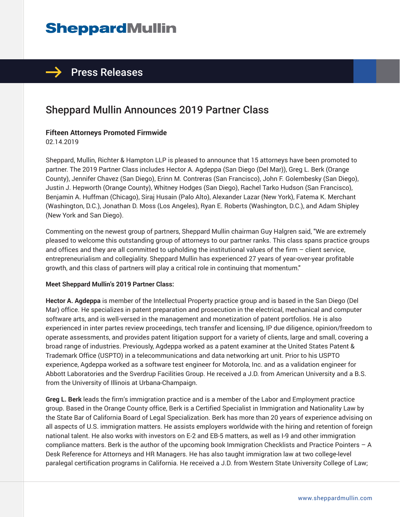# **SheppardMullin**

# $\rightarrow$  Press Releases

# Sheppard Mullin Announces 2019 Partner Class

#### **Fifteen Attorneys Promoted Firmwide**

02.14.2019

Sheppard, Mullin, Richter & Hampton LLP is pleased to announce that 15 attorneys have been promoted to partner. The 2019 Partner Class includes Hector A. Agdeppa (San Diego (Del Mar)), Greg L. Berk (Orange County), Jennifer Chavez (San Diego), Erinn M. Contreras (San Francisco), John F. Golembesky (San Diego), Justin J. Hepworth (Orange County), Whitney Hodges (San Diego), Rachel Tarko Hudson (San Francisco), Benjamin A. Huffman (Chicago), Siraj Husain (Palo Alto), Alexander Lazar (New York), Fatema K. Merchant (Washington, D.C.), Jonathan D. Moss (Los Angeles), Ryan E. Roberts (Washington, D.C.), and Adam Shipley (New York and San Diego).

Commenting on the newest group of partners, Sheppard Mullin chairman Guy Halgren said, "We are extremely pleased to welcome this outstanding group of attorneys to our partner ranks. This class spans practice groups and offices and they are all committed to upholding the institutional values of the firm – client service, entrepreneurialism and collegiality. Sheppard Mullin has experienced 27 years of year-over-year profitable growth, and this class of partners will play a critical role in continuing that momentum."

#### **Meet Sheppard Mullin's 2019 Partner Class:**

**Hector A. Agdeppa** is member of the Intellectual Property practice group and is based in the San Diego (Del Mar) office. He specializes in patent preparation and prosecution in the electrical, mechanical and computer software arts, and is well-versed in the management and monetization of patent portfolios. He is also experienced in inter partes review proceedings, tech transfer and licensing, IP due diligence, opinion/freedom to operate assessments, and provides patent litigation support for a variety of clients, large and small, covering a broad range of industries. Previously, Agdeppa worked as a patent examiner at the United States Patent & Trademark Office (USPTO) in a telecommunications and data networking art unit. Prior to his USPTO experience, Agdeppa worked as a software test engineer for Motorola, Inc. and as a validation engineer for Abbott Laboratories and the Sverdrup Facilities Group. He received a J.D. from American University and a B.S. from the University of Illinois at Urbana-Champaign.

**Greg L. Berk** leads the firm's immigration practice and is a member of the Labor and Employment practice group. Based in the Orange County office, Berk is a Certified Specialist in Immigration and Nationality Law by the State Bar of California Board of Legal Specialization. Berk has more than 20 years of experience advising on all aspects of U.S. immigration matters. He assists employers worldwide with the hiring and retention of foreign national talent. He also works with investors on E-2 and EB-5 matters, as well as I-9 and other immigration compliance matters. Berk is the author of the upcoming book Immigration Checklists and Practice Pointers – A Desk Reference for Attorneys and HR Managers. He has also taught immigration law at two college-level paralegal certification programs in California. He received a J.D. from Western State University College of Law;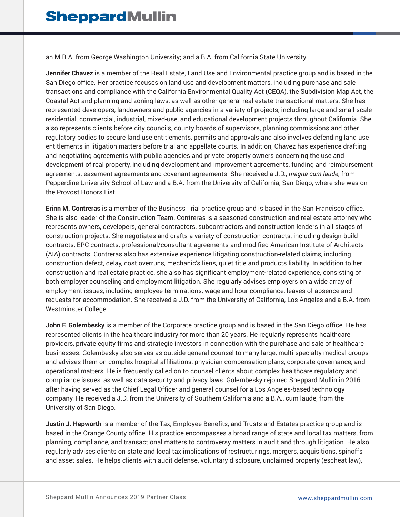an M.B.A. from George Washington University; and a B.A. from California State University.

**Jennifer Chavez** is a member of the Real Estate, Land Use and Environmental practice group and is based in the San Diego office. Her practice focuses on land use and development matters, including purchase and sale transactions and compliance with the California Environmental Quality Act (CEQA), the Subdivision Map Act, the Coastal Act and planning and zoning laws, as well as other general real estate transactional matters. She has represented developers, landowners and public agencies in a variety of projects, including large and small-scale residential, commercial, industrial, mixed-use, and educational development projects throughout California. She also represents clients before city councils, county boards of supervisors, planning commissions and other regulatory bodies to secure land use entitlements, permits and approvals and also involves defending land use entitlements in litigation matters before trial and appellate courts. In addition, Chavez has experience drafting and negotiating agreements with public agencies and private property owners concerning the use and development of real property, including development and improvement agreements, funding and reimbursement agreements, easement agreements and covenant agreements. She received a J.D., *magna cum laude*, from Pepperdine University School of Law and a B.A. from the University of California, San Diego, where she was on the Provost Honors List.

**Erinn M. Contreras** is a member of the Business Trial practice group and is based in the San Francisco office. She is also leader of the Construction Team. Contreras is a seasoned construction and real estate attorney who represents owners, developers, general contractors, subcontractors and construction lenders in all stages of construction projects. She negotiates and drafts a variety of construction contracts, including design-build contracts, EPC contracts, professional/consultant agreements and modified American Institute of Architects (AIA) contracts. Contreras also has extensive experience litigating construction-related claims, including construction defect, delay, cost overruns, mechanic's liens, quiet title and products liability. In addition to her construction and real estate practice, she also has significant employment-related experience, consisting of both employer counseling and employment litigation. She regularly advises employers on a wide array of employment issues, including employee terminations, wage and hour compliance, leaves of absence and requests for accommodation. She received a J.D. from the University of California, Los Angeles and a B.A. from Westminster College.

**John F. Golembesky** is a member of the Corporate practice group and is based in the San Diego office. He has represented clients in the healthcare industry for more than 20 years. He regularly represents healthcare providers, private equity firms and strategic investors in connection with the purchase and sale of healthcare businesses. Golembesky also serves as outside general counsel to many large, multi-specialty medical groups and advises them on complex hospital affiliations, physician compensation plans, corporate governance, and operational matters. He is frequently called on to counsel clients about complex healthcare regulatory and compliance issues, as well as data security and privacy laws. Golembesky rejoined Sheppard Mullin in 2016, after having served as the Chief Legal Officer and general counsel for a Los Angeles-based technology company. He received a J.D. from the University of Southern California and a B.A., cum laude, from the University of San Diego.

**Justin J. Hepworth** is a member of the Tax, Employee Benefits, and Trusts and Estates practice group and is based in the Orange County office. His practice encompasses a broad range of state and local tax matters, from planning, compliance, and transactional matters to controversy matters in audit and through litigation. He also regularly advises clients on state and local tax implications of restructurings, mergers, acquisitions, spinoffs and asset sales. He helps clients with audit defense, voluntary disclosure, unclaimed property (escheat law),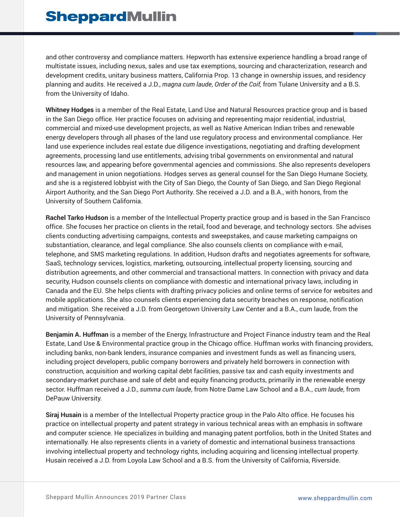and other controversy and compliance matters. Hepworth has extensive experience handling a broad range of multistate issues, including nexus, sales and use tax exemptions, sourcing and characterization, research and development credits, unitary business matters, California Prop. 13 change in ownership issues, and residency planning and audits. He received a J.D., *magna cum laude*, *Order of the Coif,* from Tulane University and a B.S. from the University of Idaho.

**Whitney Hodges** is a member of the Real Estate, Land Use and Natural Resources practice group and is based in the San Diego office. Her practice focuses on advising and representing major residential, industrial, commercial and mixed-use development projects, as well as Native American Indian tribes and renewable energy developers through all phases of the land use regulatory process and environmental compliance. Her land use experience includes real estate due diligence investigations, negotiating and drafting development agreements, processing land use entitlements, advising tribal governments on environmental and natural resources law, and appearing before governmental agencies and commissions. She also represents developers and management in union negotiations. Hodges serves as general counsel for the San Diego Humane Society, and she is a registered lobbyist with the City of San Diego, the County of San Diego, and San Diego Regional Airport Authority, and the San Diego Port Authority. She received a J.D. and a B.A., with honors, from the University of Southern California.

**Rachel Tarko Hudson** is a member of the Intellectual Property practice group and is based in the San Francisco office. She focuses her practice on clients in the retail, food and beverage, and technology sectors. She advises clients conducting advertising campaigns, contests and sweepstakes, and cause marketing campaigns on substantiation, clearance, and legal compliance. She also counsels clients on compliance with e-mail, telephone, and SMS marketing regulations. In addition, Hudson drafts and negotiates agreements for software, SaaS, technology services, logistics, marketing, outsourcing, intellectual property licensing, sourcing and distribution agreements, and other commercial and transactional matters. In connection with privacy and data security, Hudson counsels clients on compliance with domestic and international privacy laws, including in Canada and the EU. She helps clients with drafting privacy policies and online terms of service for websites and mobile applications. She also counsels clients experiencing data security breaches on response, notification and mitigation. She received a J.D. from Georgetown University Law Center and a B.A., cum laude, from the University of Pennsylvania.

**Benjamin A. Huffman** is a member of the Energy, Infrastructure and Project Finance industry team and the Real Estate, Land Use & Environmental practice group in the Chicago office. Huffman works with financing providers, including banks, non-bank lenders, insurance companies and investment funds as well as financing users, including project developers, public company borrowers and privately held borrowers in connection with construction, acquisition and working capital debt facilities, passive tax and cash equity investments and secondary-market purchase and sale of debt and equity financing products, primarily in the renewable energy sector. Huffman received a J.D., *summa cum laude*, from Notre Dame Law School and a B.A., *cum laude*, from DePauw University.

**Siraj Husain** is a member of the Intellectual Property practice group in the Palo Alto office. He focuses his practice on intellectual property and patent strategy in various technical areas with an emphasis in software and computer science. He specializes in building and managing patent portfolios, both in the United States and internationally. He also represents clients in a variety of domestic and international business transactions involving intellectual property and technology rights, including acquiring and licensing intellectual property. Husain received a J.D. from Loyola Law School and a B.S. from the University of California, Riverside.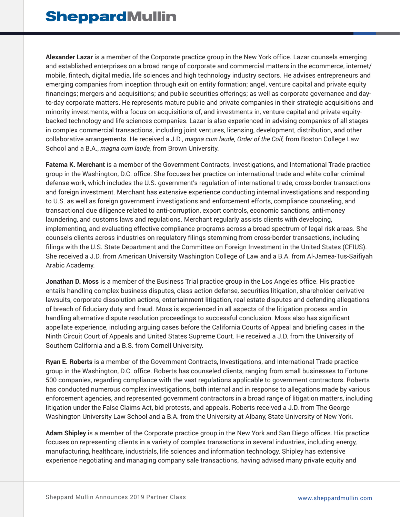**Alexander Lazar** is a member of the Corporate practice group in the New York office. Lazar counsels emerging and established enterprises on a broad range of corporate and commercial matters in the ecommerce, internet/ mobile, fintech, digital media, life sciences and high technology industry sectors. He advises entrepreneurs and emerging companies from inception through exit on entity formation; angel, venture capital and private equity financings; mergers and acquisitions; and public securities offerings; as well as corporate governance and dayto-day corporate matters. He represents mature public and private companies in their strategic acquisitions and minority investments, with a focus on acquisitions of, and investments in, venture capital and private equitybacked technology and life sciences companies. Lazar is also experienced in advising companies of all stages in complex commercial transactions, including joint ventures, licensing, development, distribution, and other collaborative arrangements. He received a J.D., *magna cum laude, Order of the Coif,* from Boston College Law School and a B.A., *magna cum laude,* from Brown University.

**Fatema K. Merchant** is a member of the Government Contracts, Investigations, and International Trade practice group in the Washington, D.C. office. She focuses her practice on international trade and white collar criminal defense work, which includes the U.S. government's regulation of international trade, cross-border transactions and foreign investment. Merchant has extensive experience conducting internal investigations and responding to U.S. as well as foreign government investigations and enforcement efforts, compliance counseling, and transactional due diligence related to anti-corruption, export controls, economic sanctions, anti-money laundering, and customs laws and regulations. Merchant regularly assists clients with developing, implementing, and evaluating effective compliance programs across a broad spectrum of legal risk areas. She counsels clients across industries on regulatory filings stemming from cross-border transactions, including filings with the U.S. State Department and the Committee on Foreign Investment in the United States (CFIUS). She received a J.D. from American University Washington College of Law and a B.A. from Al-Jamea-Tus-Saifiyah Arabic Academy.

**Jonathan D. Moss** is a member of the Business Trial practice group in the Los Angeles office. His practice entails handling complex business disputes, class action defense, securities litigation, shareholder derivative lawsuits, corporate dissolution actions, entertainment litigation, real estate disputes and defending allegations of breach of fiduciary duty and fraud. Moss is experienced in all aspects of the litigation process and in handling alternative dispute resolution proceedings to successful conclusion. Moss also has significant appellate experience, including arguing cases before the California Courts of Appeal and briefing cases in the Ninth Circuit Court of Appeals and United States Supreme Court. He received a J.D. from the University of Southern California and a B.S. from Cornell University.

**Ryan E. Roberts** is a member of the Government Contracts, Investigations, and International Trade practice group in the Washington, D.C. office. Roberts has counseled clients, ranging from small businesses to Fortune 500 companies, regarding compliance with the vast regulations applicable to government contractors. Roberts has conducted numerous complex investigations, both internal and in response to allegations made by various enforcement agencies, and represented government contractors in a broad range of litigation matters, including litigation under the False Claims Act, bid protests, and appeals. Roberts received a J.D. from The George Washington University Law School and a B.A. from the University at Albany, State University of New York.

**Adam Shipley** is a member of the Corporate practice group in the New York and San Diego offices. His practice focuses on representing clients in a variety of complex transactions in several industries, including energy, manufacturing, healthcare, industrials, life sciences and information technology. Shipley has extensive experience negotiating and managing company sale transactions, having advised many private equity and